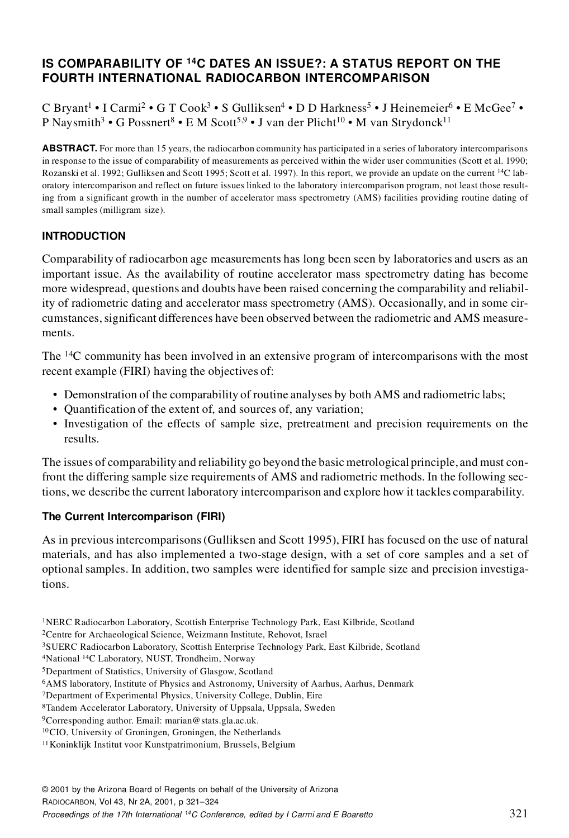# **IS COMPARABILITY OF <sup>14</sup>C DATES AN ISSUE?: A STATUS REPORT ON THE FOURTH INTERNATIONAL RADIOCARBON INTERCOMPARISON**

C Bryant<sup>1</sup> • I Carmi<sup>2</sup> • G T Cook<sup>3</sup> • S Gulliksen<sup>4</sup> • D D Harkness<sup>5</sup> • J Heinemeier<sup>6</sup> • E McGee<sup>7</sup> • P Naysmith<sup>3</sup> • G Possnert<sup>8</sup> • E M Scott<sup>5,9</sup> • J van der Plicht<sup>10</sup> • M van Strydonck<sup>11</sup>

**ABSTRACT.** For more than 15 years, the radiocarbon community has participated in a series of laboratory intercomparisons in response to the issue of comparability of measurements as perceived within the wider user communities (Scott et al. 1990; Rozanski et al. 1992; Gulliksen and Scott 1995; Scott et al. 1997). In this report, we provide an update on the current 14C laboratory intercomparison and reflect on future issues linked to the laboratory intercomparison program, not least those resulting from a significant growth in the number of accelerator mass spectrometry (AMS) facilities providing routine dating of small samples (milligram size).

### **INTRODUCTION**

Comparability of radiocarbon age measurements has long been seen by laboratories and users as an important issue. As the availability of routine accelerator mass spectrometry dating has become more widespread, questions and doubts have been raised concerning the comparability and reliability of radiometric dating and accelerator mass spectrometry (AMS). Occasionally, and in some circumstances, significant differences have been observed between the radiometric and AMS measurements.

The <sup>14</sup>C community has been involved in an extensive program of intercomparisons with the most recent example (FIRI) having the objectives of:

- Demonstration of the comparability of routine analyses by both AMS and radiometric labs;
- Quantification of the extent of, and sources of, any variation;
- Investigation of the effects of sample size, pretreatment and precision requirements on the results.

The issues of comparability and reliability go beyond the basic metrological principle, and must confront the differing sample size requirements of AMS and radiometric methods. In the following sections, we describe the current laboratory intercomparison and explore how it tackles comparability.

### **The Current Intercomparison (FIRI)**

As in previous intercomparisons (Gulliksen and Scott 1995), FIRI has focused on the use of natural materials, and has also implemented a two-stage design, with a set of core samples and a set of optional samples. In addition, two samples were identified for sample size and precision investigations.

<sup>1</sup>NERC Radiocarbon Laboratory, Scottish Enterprise Technology Park, East Kilbride, Scotland

<sup>2</sup>Centre for Archaeological Science, Weizmann Institute, Rehovot, Israel

<sup>3</sup>SUERC Radiocarbon Laboratory, Scottish Enterprise Technology Park, East Kilbride, Scotland

<sup>4</sup>National 14C Laboratory, NUST, Trondheim, Norway

<sup>5</sup>Department of Statistics, University of Glasgow, Scotland

<sup>6</sup>AMS laboratory, Institute of Physics and Astronomy, University of Aarhus, Aarhus, Denmark

<sup>7</sup>Department of Experimental Physics, University College, Dublin, Eire

<sup>8</sup>Tandem Accelerator Laboratory, University of Uppsala, Uppsala, Sweden

<sup>9</sup>Corresponding author. Email: marian@stats.gla.ac.uk.

<sup>10</sup>CIO, University of Groningen, Groningen, the Netherlands

<sup>11</sup>Koninklijk Institut voor Kunstpatrimonium, Brussels, Belgium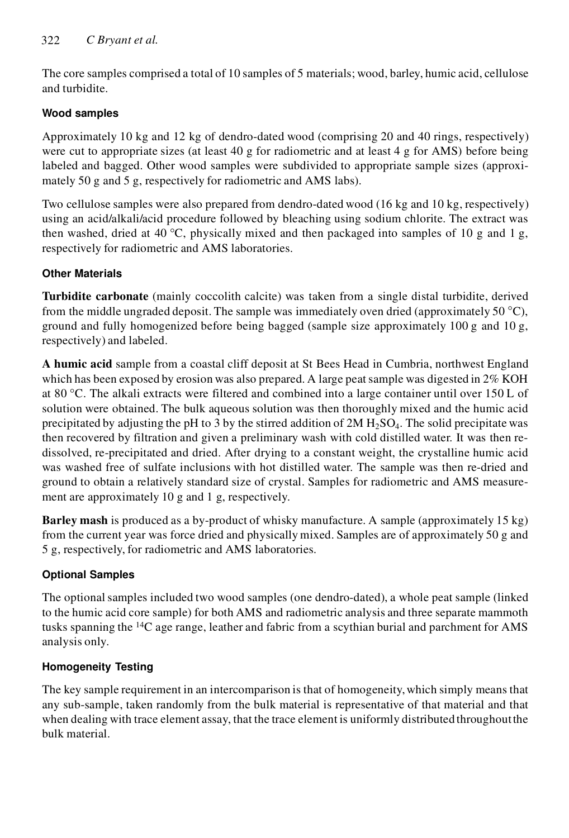The core samples comprised a total of 10 samples of 5 materials; wood, barley, humic acid, cellulose and turbidite.

## **Wood samples**

Approximately 10 kg and 12 kg of dendro-dated wood (comprising 20 and 40 rings, respectively) were cut to appropriate sizes (at least 40 g for radiometric and at least 4 g for AMS) before being labeled and bagged. Other wood samples were subdivided to appropriate sample sizes (approximately 50 g and 5 g, respectively for radiometric and AMS labs).

Two cellulose samples were also prepared from dendro-dated wood (16 kg and 10 kg, respectively) using an acid/alkali/acid procedure followed by bleaching using sodium chlorite. The extract was then washed, dried at 40 °C, physically mixed and then packaged into samples of 10 g and 1 g, respectively for radiometric and AMS laboratories.

## **Other Materials**

**Turbidite carbonate** (mainly coccolith calcite) was taken from a single distal turbidite, derived from the middle ungraded deposit. The sample was immediately oven dried (approximately 50  $^{\circ}$ C), ground and fully homogenized before being bagged (sample size approximately 100 g and 10 g, respectively) and labeled.

**A humic acid** sample from a coastal cliff deposit at St Bees Head in Cumbria, northwest England which has been exposed by erosion was also prepared. A large peat sample was digested in 2% KOH at 80 °C. The alkali extracts were filtered and combined into a large container until over 150 L of solution were obtained. The bulk aqueous solution was then thoroughly mixed and the humic acid precipitated by adjusting the pH to 3 by the stirred addition of  $2M H_2SO_4$ . The solid precipitate was then recovered by filtration and given a preliminary wash with cold distilled water. It was then redissolved, re-precipitated and dried. After drying to a constant weight, the crystalline humic acid was washed free of sulfate inclusions with hot distilled water. The sample was then re-dried and ground to obtain a relatively standard size of crystal. Samples for radiometric and AMS measurement are approximately 10 g and 1 g, respectively.

**Barley mash** is produced as a by-product of whisky manufacture. A sample (approximately 15 kg) from the current year was force dried and physically mixed. Samples are of approximately 50 g and 5 g, respectively, for radiometric and AMS laboratories.

# **Optional Samples**

The optional samples included two wood samples (one dendro-dated), a whole peat sample (linked to the humic acid core sample) for both AMS and radiometric analysis and three separate mammoth tusks spanning the <sup>14</sup>C age range, leather and fabric from a scythian burial and parchment for AMS analysis only.

# **Homogeneity Testing**

The key sample requirement in an intercomparison is that of homogeneity, which simply means that any sub-sample, taken randomly from the bulk material is representative of that material and that when dealing with trace element assay, that the trace element is uniformly distributed throughout the bulk material.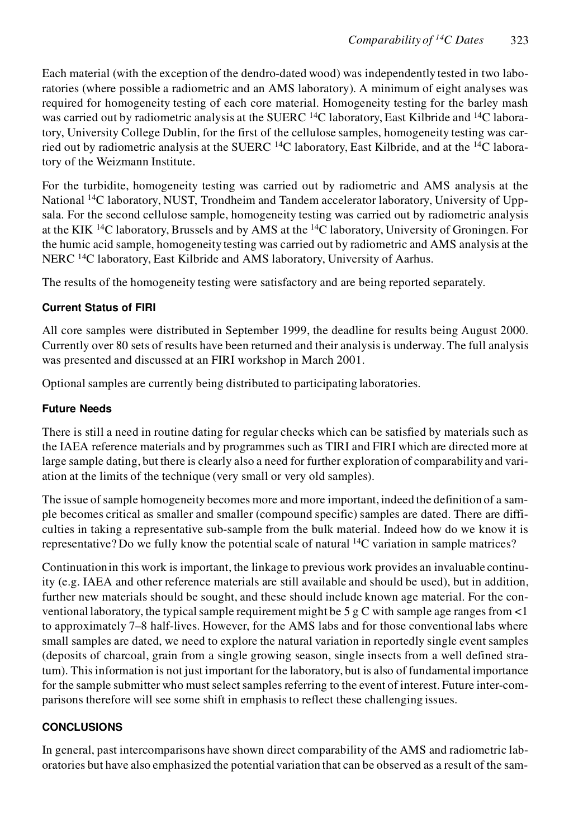Each material (with the exception of the dendro-dated wood) was independently tested in two laboratories (where possible a radiometric and an AMS laboratory). A minimum of eight analyses was required for homogeneity testing of each core material. Homogeneity testing for the barley mash was carried out by radiometric analysis at the SUERC <sup>14</sup>C laboratory, East Kilbride and <sup>14</sup>C laboratory, University College Dublin, for the first of the cellulose samples, homogeneity testing was carried out by radiometric analysis at the SUERC  $^{14}$ C laboratory, East Kilbride, and at the  $^{14}$ C laboratory of the Weizmann Institute.

For the turbidite, homogeneity testing was carried out by radiometric and AMS analysis at the National <sup>14</sup>C laboratory, NUST, Trondheim and Tandem accelerator laboratory, University of Uppsala. For the second cellulose sample, homogeneity testing was carried out by radiometric analysis at the KIK <sup>14</sup>C laboratory, Brussels and by AMS at the <sup>14</sup>C laboratory, University of Groningen. For the humic acid sample, homogeneity testing was carried out by radiometric and AMS analysis at the NERC <sup>14</sup>C laboratory, East Kilbride and AMS laboratory, University of Aarhus.

The results of the homogeneity testing were satisfactory and are being reported separately.

### **Current Status of FIRI**

All core samples were distributed in September 1999, the deadline for results being August 2000. Currently over 80 sets of results have been returned and their analysis is underway. The full analysis was presented and discussed at an FIRI workshop in March 2001.

Optional samples are currently being distributed to participating laboratories.

### **Future Needs**

There is still a need in routine dating for regular checks which can be satisfied by materials such as the IAEA reference materials and by programmes such as TIRI and FIRI which are directed more at large sample dating, but there is clearly also a need for further exploration of comparability and variation at the limits of the technique (very small or very old samples).

The issue of sample homogeneity becomes more and more important, indeed the definition of a sample becomes critical as smaller and smaller (compound specific) samples are dated. There are difficulties in taking a representative sub-sample from the bulk material. Indeed how do we know it is representative? Do we fully know the potential scale of natural <sup>14</sup>C variation in sample matrices?

Continuation in this work is important, the linkage to previous work provides an invaluable continuity (e.g. IAEA and other reference materials are still available and should be used), but in addition, further new materials should be sought, and these should include known age material. For the conventional laboratory, the typical sample requirement might be 5 g C with sample age ranges from <1 to approximately 7–8 half-lives. However, for the AMS labs and for those conventional labs where small samples are dated, we need to explore the natural variation in reportedly single event samples (deposits of charcoal, grain from a single growing season, single insects from a well defined stratum). This information is not just important for the laboratory, but is also of fundamental importance for the sample submitter who must select samples referring to the event of interest. Future inter-comparisons therefore will see some shift in emphasis to reflect these challenging issues.

### **CONCLUSIONS**

In general, past intercomparisons have shown direct comparability of the AMS and radiometric laboratories but have also emphasized the potential variation that can be observed as a result of the sam